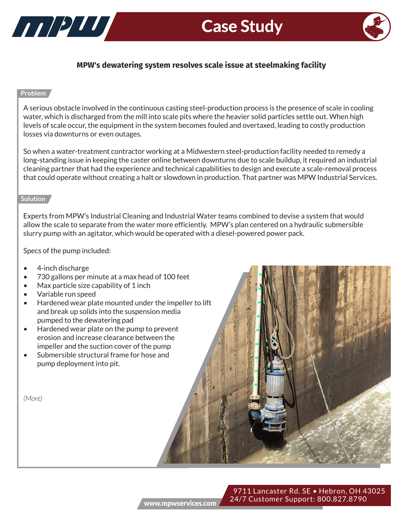



# **MPW's dewatering system resolves scale issue at steelmaking facility**

## **Problem**

A serious obstacle involved in the continuous casting steel-production process is the presence of scale in cooling water, which is discharged from the mill into scale pits where the heavier solid particles settle out. When high levels of scale occur, the equipment in the system becomes fouled and overtaxed, leading to costly production losses via downturns or even outages.

So when a water-treatment contractor working at a Midwestern steel-production facility needed to remedy a long-standing issue in keeping the caster online between downturns due to scale buildup, it required an industrial cleaning partner that had the experience and technical capabilities to design and execute a scale-removal process that could operate without creating a halt or slowdown in production. That partner was MPW Industrial Services.

#### **Solution**

**Benefits** Experts from MPW's Industrial Cleaning and Industrial Water teams combined to devise a system that would allow the scale to separate from the water more efficiently. MPW's plan centered on a hydraulic submersible slurry pump with an agitator, which would be operated with a diesel-powered power pack.

Specs of the pump included:

- 4-inch discharge
- 730 gallons per minute at a max head of 100 feet
- Max particle size capability of 1 inch
- Variable run speed
- Hardened wear plate mounted under the impeller to lift and break up solids into the suspension media pumped to the dewatering pad
- Hardened wear plate on the pump to prevent erosion and increase clearance between the impeller and the suction cover of the pump
- Submersible structural frame for hose and pump deployment into pit.

*(More)*